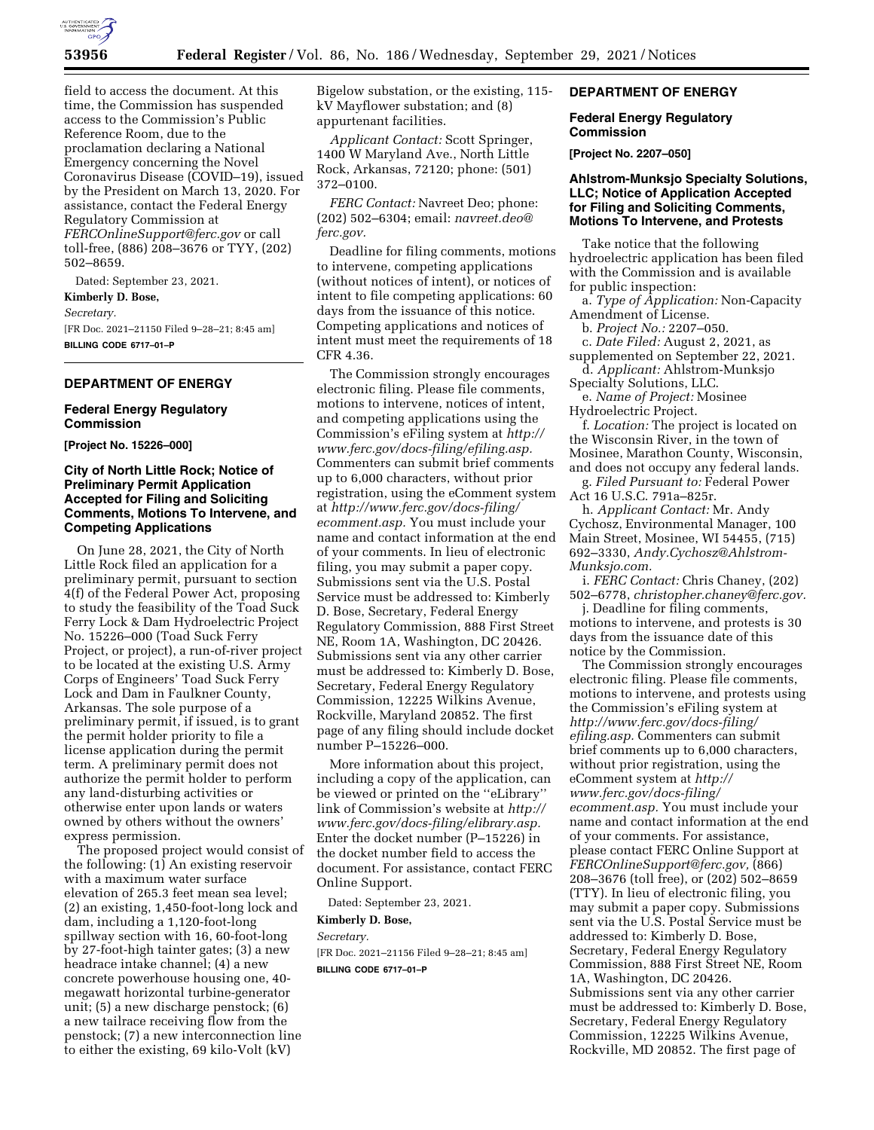

field to access the document. At this time, the Commission has suspended access to the Commission's Public Reference Room, due to the proclamation declaring a National Emergency concerning the Novel Coronavirus Disease (COVID–19), issued by the President on March 13, 2020. For assistance, contact the Federal Energy Regulatory Commission at *[FERCOnlineSupport@ferc.gov](mailto:FERCOnlineSupport@ferc.gov)* or call toll-free, (886) 208–3676 or TYY, (202) 502–8659.

Dated: September 23, 2021.

# **Kimberly D. Bose,**

*Secretary.* 

[FR Doc. 2021–21150 Filed 9–28–21; 8:45 am] **BILLING CODE 6717–01–P** 

# **DEPARTMENT OF ENERGY**

#### **Federal Energy Regulatory Commission**

**[Project No. 15226–000]** 

### **City of North Little Rock; Notice of Preliminary Permit Application Accepted for Filing and Soliciting Comments, Motions To Intervene, and Competing Applications**

On June 28, 2021, the City of North Little Rock filed an application for a preliminary permit, pursuant to section 4(f) of the Federal Power Act, proposing to study the feasibility of the Toad Suck Ferry Lock & Dam Hydroelectric Project No. 15226–000 (Toad Suck Ferry Project, or project), a run-of-river project to be located at the existing U.S. Army Corps of Engineers' Toad Suck Ferry Lock and Dam in Faulkner County, Arkansas. The sole purpose of a preliminary permit, if issued, is to grant the permit holder priority to file a license application during the permit term. A preliminary permit does not authorize the permit holder to perform any land-disturbing activities or otherwise enter upon lands or waters owned by others without the owners' express permission.

The proposed project would consist of the following: (1) An existing reservoir with a maximum water surface elevation of 265.3 feet mean sea level; (2) an existing, 1,450-foot-long lock and dam, including a 1,120-foot-long spillway section with 16, 60-foot-long by 27-foot-high tainter gates; (3) a new headrace intake channel; (4) a new concrete powerhouse housing one, 40 megawatt horizontal turbine-generator unit; (5) a new discharge penstock; (6) a new tailrace receiving flow from the penstock; (7) a new interconnection line to either the existing, 69 kilo-Volt (kV)

Bigelow substation, or the existing, 115 kV Mayflower substation; and (8) appurtenant facilities.

*Applicant Contact:* Scott Springer, 1400 W Maryland Ave., North Little Rock, Arkansas, 72120; phone: (501) 372–0100.

*FERC Contact:* Navreet Deo; phone: (202) 502–6304; email: *[navreet.deo@](mailto:navreet.deo@ferc.gov) [ferc.gov.](mailto:navreet.deo@ferc.gov)* 

Deadline for filing comments, motions to intervene, competing applications (without notices of intent), or notices of intent to file competing applications: 60 days from the issuance of this notice. Competing applications and notices of intent must meet the requirements of 18 CFR 4.36.

The Commission strongly encourages electronic filing. Please file comments, motions to intervene, notices of intent, and competing applications using the Commission's eFiling system at *[http://](http://www.ferc.gov/docs-filing/efiling.asp) [www.ferc.gov/docs-filing/efiling.asp.](http://www.ferc.gov/docs-filing/efiling.asp)*  Commenters can submit brief comments up to 6,000 characters, without prior registration, using the eComment system at *[http://www.ferc.gov/docs-filing/](http://www.ferc.gov/docs-filing/ecomment.asp) [ecomment.asp.](http://www.ferc.gov/docs-filing/ecomment.asp)* You must include your name and contact information at the end of your comments. In lieu of electronic filing, you may submit a paper copy. Submissions sent via the U.S. Postal Service must be addressed to: Kimberly D. Bose, Secretary, Federal Energy Regulatory Commission, 888 First Street NE, Room 1A, Washington, DC 20426. Submissions sent via any other carrier must be addressed to: Kimberly D. Bose, Secretary, Federal Energy Regulatory Commission, 12225 Wilkins Avenue, Rockville, Maryland 20852. The first page of any filing should include docket number P–15226–000.

More information about this project, including a copy of the application, can be viewed or printed on the ''eLibrary'' link of Commission's website at *[http://](http://www.ferc.gov/docs-filing/elibrary.asp) [www.ferc.gov/docs-filing/elibrary.asp.](http://www.ferc.gov/docs-filing/elibrary.asp)*  Enter the docket number (P–15226) in the docket number field to access the document. For assistance, contact FERC Online Support.

Dated: September 23, 2021.

### **Kimberly D. Bose,**

#### *Secretary.*

[FR Doc. 2021–21156 Filed 9–28–21; 8:45 am] **BILLING CODE 6717–01–P** 

### **DEPARTMENT OF ENERGY**

### **Federal Energy Regulatory Commission**

**[Project No. 2207–050]** 

### **Ahlstrom-Munksjo Specialty Solutions, LLC; Notice of Application Accepted for Filing and Soliciting Comments, Motions To Intervene, and Protests**

Take notice that the following hydroelectric application has been filed with the Commission and is available for public inspection:

a. *Type of Application:* Non-Capacity Amendment of License.

b. *Project No.:* 2207–050.

c. *Date Filed:* August 2, 2021, as supplemented on September 22, 2021. d. *Applicant:* Ahlstrom-Munksjo

Specialty Solutions, LLC.

e. *Name of Project:* Mosinee Hydroelectric Project.

f. *Location:* The project is located on the Wisconsin River, in the town of Mosinee, Marathon County, Wisconsin, and does not occupy any federal lands.

g. *Filed Pursuant to:* Federal Power Act 16 U.S.C. 791a–825r.

h. *Applicant Contact:* Mr. Andy Cychosz, Environmental Manager, 100 Main Street, Mosinee, WI 54455, (715) 692–3330, *[Andy.Cychosz@Ahlstrom-](mailto:Andy.Cychosz@Ahlstrom-Munksjo.com)[Munksjo.com.](mailto:Andy.Cychosz@Ahlstrom-Munksjo.com)* 

i. *FERC Contact:* Chris Chaney, (202) 502–6778, *[christopher.chaney@ferc.gov.](mailto:christopher.chaney@ferc.gov)* 

j. Deadline for filing comments, motions to intervene, and protests is 30 days from the issuance date of this notice by the Commission.

The Commission strongly encourages electronic filing. Please file comments, motions to intervene, and protests using the Commission's eFiling system at *[http://www.ferc.gov/docs-filing/](http://www.ferc.gov/docs-filing/efiling.asp) [efiling.asp.](http://www.ferc.gov/docs-filing/efiling.asp)* Commenters can submit brief comments up to 6,000 characters, without prior registration, using the eComment system at *[http://](http://www.ferc.gov/docs-filing/ecomment.asp) [www.ferc.gov/docs-filing/](http://www.ferc.gov/docs-filing/ecomment.asp)  [ecomment.asp.](http://www.ferc.gov/docs-filing/ecomment.asp)* You must include your name and contact information at the end of your comments. For assistance, please contact FERC Online Support at *[FERCOnlineSupport@ferc.gov,](mailto:FERCOnlineSupport@ferc.gov)* (866) 208–3676 (toll free), or (202) 502–8659 (TTY). In lieu of electronic filing, you may submit a paper copy. Submissions sent via the U.S. Postal Service must be addressed to: Kimberly D. Bose, Secretary, Federal Energy Regulatory Commission, 888 First Street NE, Room 1A, Washington, DC 20426. Submissions sent via any other carrier must be addressed to: Kimberly D. Bose, Secretary, Federal Energy Regulatory Commission, 12225 Wilkins Avenue, Rockville, MD 20852. The first page of